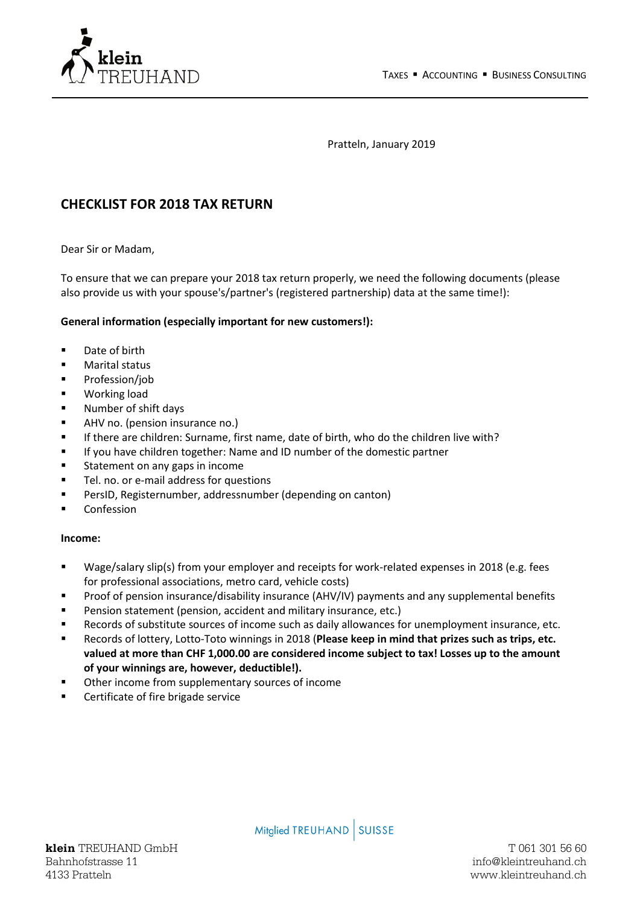

Pratteln, January 2019

# **CHECKLIST FOR 2018 TAX RETURN**

Dear Sir or Madam,

To ensure that we can prepare your 2018 tax return properly, we need the following documents (please also provide us with your spouse's/partner's (registered partnership) data at the same time!):

### **General information (especially important for new customers!):**

- Date of birth
- Marital status
- Profession/job
- Working load
- Number of shift days
- AHV no. (pension insurance no.)
- If there are children: Surname, first name, date of birth, who do the children live with?
- If you have children together: Name and ID number of the domestic partner
- Statement on any gaps in income
- Tel. no. or e-mail address for questions
- PersID, Registernumber, addressnumber (depending on canton)
- Confession

### **Income:**

- Wage/salary slip(s) from your employer and receipts for work-related expenses in 2018 (e.g. fees for professional associations, metro card, vehicle costs)
- Proof of pension insurance/disability insurance (AHV/IV) payments and any supplemental benefits
- Pension statement (pension, accident and military insurance, etc.)
- Records of substitute sources of income such as daily allowances for unemployment insurance, etc.
- Records of lottery, Lotto-Toto winnings in 2018 (**Please keep in mind that prizes such as trips, etc. valued at more than CHF 1,000.00 are considered income subject to tax! Losses up to the amount of your winnings are, however, deductible!).**
- Other income from supplementary sources of income
- Certificate of fire brigade service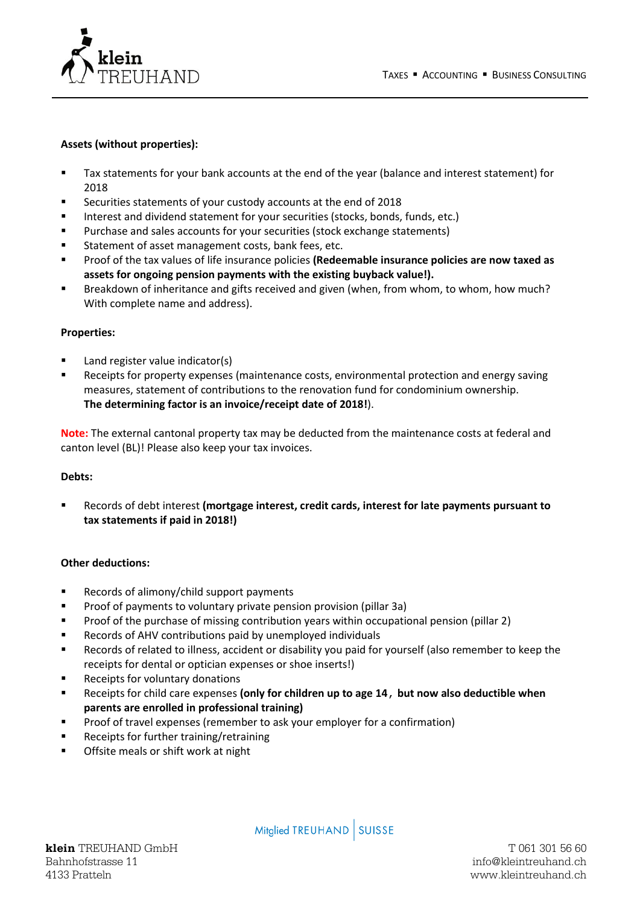

# **Assets (without properties):**

- Tax statements for your bank accounts at the end of the year (balance and interest statement) for 2018
- Securities statements of your custody accounts at the end of 2018
- Interest and dividend statement for your securities (stocks, bonds, funds, etc.)
- Purchase and sales accounts for your securities (stock exchange statements)
- Statement of asset management costs, bank fees, etc.
- Proof of the tax values of life insurance policies **(Redeemable insurance policies are now taxed as assets for ongoing pension payments with the existing buyback value!).**
- Breakdown of inheritance and gifts received and given (when, from whom, to whom, how much? With complete name and address).

### **Properties:**

- Land register value indicator(s)
- Receipts for property expenses (maintenance costs, environmental protection and energy saving measures, statement of contributions to the renovation fund for condominium ownership. **The determining factor is an invoice/receipt date of 2018!**).

**Note:** The external cantonal property tax may be deducted from the maintenance costs at federal and canton level (BL)! Please also keep your tax invoices.

### **Debts:**

▪ Records of debt interest **(mortgage interest, credit cards, interest for late payments pursuant to tax statements if paid in 2018!)**

### **Other deductions:**

- Records of alimony/child support payments
- Proof of payments to voluntary private pension provision (pillar 3a)
- Proof of the purchase of missing contribution years within occupational pension (pillar 2)
- Records of AHV contributions paid by unemployed individuals
- Records of related to illness, accident or disability you paid for yourself (also remember to keep the receipts for dental or optician expenses or shoe inserts!)
- Receipts for voluntary donations
- Receipts for child care expenses **(only for children up to age 14**, **but now also deductible when parents are enrolled in professional training)**
- Proof of travel expenses (remember to ask your employer for a confirmation)
- Receipts for further training/retraining
- Offsite meals or shift work at night